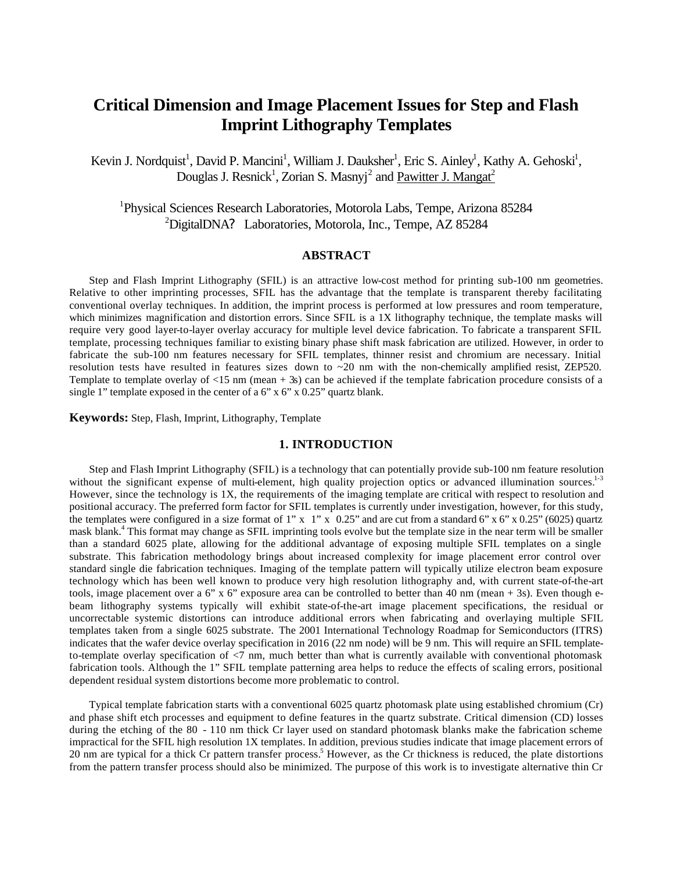# **Critical Dimension and Image Placement Issues for Step and Flash Imprint Lithography Templates**

Kevin J. Nordquist<sup>1</sup>, David P. Mancini<sup>1</sup>, William J. Dauksher<sup>1</sup>, Eric S. Ainley<sup>1</sup>, Kathy A. Gehoski<sup>1</sup>, Douglas J. Resnick<sup>1</sup>, Zorian S. Masnyj<sup>2</sup> and Pawitter J. Mangat<sup>2</sup>

<sup>1</sup>Physical Sciences Research Laboratories, Motorola Labs, Tempe, Arizona 85284 <sup>2</sup>DigitalDNA? Laboratories, Motorola, Inc., Tempe, AZ 85284

## **ABSTRACT**

Step and Flash Imprint Lithography (SFIL) is an attractive low-cost method for printing sub-100 nm geometries. Relative to other imprinting processes, SFIL has the advantage that the template is transparent thereby facilitating conventional overlay techniques. In addition, the imprint process is performed at low pressures and room temperature, which minimizes magnification and distortion errors. Since SFIL is a 1X lithography technique, the template masks will require very good layer-to-layer overlay accuracy for multiple level device fabrication. To fabricate a transparent SFIL template, processing techniques familiar to existing binary phase shift mask fabrication are utilized. However, in order to fabricate the sub-100 nm features necessary for SFIL templates, thinner resist and chromium are necessary. Initial resolution tests have resulted in features sizes down to  $\sim$  20 nm with the non-chemically amplified resist, ZEP520. Template to template overlay of  $\langle 15 \text{ nm} \pmod{+3s} \rangle$  can be achieved if the template fabrication procedure consists of a single 1" template exposed in the center of a  $6"$  x  $6"$  x  $0.25"$  quartz blank.

**Keywords:** Step, Flash, Imprint, Lithography, Template

## **1. INTRODUCTION**

Step and Flash Imprint Lithography (SFIL) is a technology that can potentially provide sub-100 nm feature resolution without the significant expense of multi-element, high quality projection optics or advanced illumination sources. $1.3$ However, since the technology is 1X, the requirements of the imaging template are critical with respect to resolution and positional accuracy. The preferred form factor for SFIL templates is currently under investigation, however, for this study, the templates were configured in a size format of 1" x 1" x 0.25" and are cut from a standard 6" x 6" x 0.25" (6025) quartz mask blank.<sup>4</sup> This format may change as SFIL imprinting tools evolve but the template size in the near term will be smaller than a standard 6025 plate, allowing for the additional advantage of exposing multiple SFIL templates on a single substrate. This fabrication methodology brings about increased complexity for image placement error control over standard single die fabrication techniques. Imaging of the template pattern will typically utilize electron beam exposure technology which has been well known to produce very high resolution lithography and, with current state-of-the-art tools, image placement over a 6" x 6" exposure area can be controlled to better than 40 nm (mean  $+3s$ ). Even though ebeam lithography systems typically will exhibit state-of-the-art image placement specifications, the residual or uncorrectable systemic distortions can introduce additional errors when fabricating and overlaying multiple SFIL templates taken from a single 6025 substrate. The 2001 International Technology Roadmap for Semiconductors (ITRS) indicates that the wafer device overlay specification in 2016 (22 nm node) will be 9 nm. This will require an SFIL templateto-template overlay specification of <7 nm, much better than what is currently available with conventional photomask fabrication tools. Although the 1" SFIL template patterning area helps to reduce the effects of scaling errors, positional dependent residual system distortions become more problematic to control.

Typical template fabrication starts with a conventional 6025 quartz photomask plate using established chromium (Cr) and phase shift etch processes and equipment to define features in the quartz substrate. Critical dimension (CD) losses during the etching of the 80 - 110 nm thick Cr layer used on standard photomask blanks make the fabrication scheme impractical for the SFIL high resolution 1X templates. In addition, previous studies indicate that image placement errors of 20 nm are typical for a thick Cr pattern transfer process.<sup>5</sup> However, as the Cr thickness is reduced, the plate distortions from the pattern transfer process should also be minimized. The purpose of this work is to investigate alternative thin Cr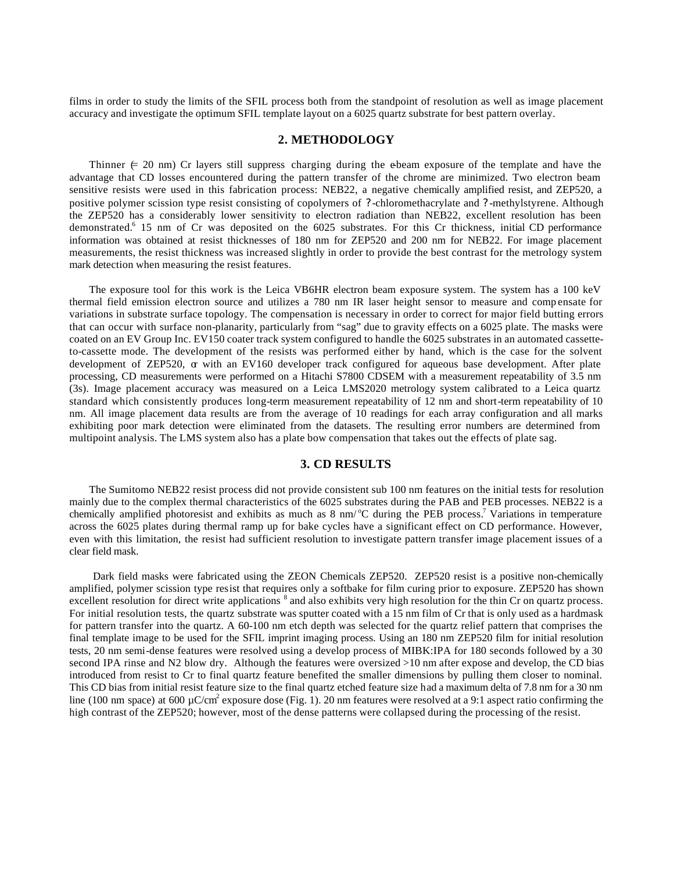films in order to study the limits of the SFIL process both from the standpoint of resolution as well as image placement accuracy and investigate the optimum SFIL template layout on a 6025 quartz substrate for best pattern overlay.

## **2. METHODOLOGY**

Thinner  $\in$  20 nm) Cr layers still suppress charging during the e-beam exposure of the template and have the advantage that CD losses encountered during the pattern transfer of the chrome are minimized. Two electron beam sensitive resists were used in this fabrication process: NEB22, a negative chemically amplified resist, and ZEP520, a positive polymer scission type resist consisting of copolymers of ? -chloromethacrylate and ? -methylstyrene. Although the ZEP520 has a considerably lower sensitivity to electron radiation than NEB22, excellent resolution has been demonstrated.<sup>6</sup> 15 nm of Cr was deposited on the 6025 substrates. For this Cr thickness, initial CD performance information was obtained at resist thicknesses of 180 nm for ZEP520 and 200 nm for NEB22. For image placement measurements, the resist thickness was increased slightly in order to provide the best contrast for the metrology system mark detection when measuring the resist features.

The exposure tool for this work is the Leica VB6HR electron beam exposure system. The system has a 100 keV thermal field emission electron source and utilizes a 780 nm IR laser height sensor to measure and comp ensate for variations in substrate surface topology. The compensation is necessary in order to correct for major field butting errors that can occur with surface non-planarity, particularly from "sag" due to gravity effects on a 6025 plate. The masks were coated on an EV Group Inc. EV150 coater track system configured to handle the 6025 substrates in an automated cassetteto-cassette mode. The development of the resists was performed either by hand, which is the case for the solvent development of ZEP520,  $\alpha$  with an EV160 developer track configured for aqueous base development. After plate processing, CD measurements were performed on a Hitachi S7800 CDSEM with a measurement repeatability of 3.5 nm (3s). Image placement accuracy was measured on a Leica LMS2020 metrology system calibrated to a Leica quartz standard which consistently produces long-term measurement repeatability of 12 nm and short-term repeatability of 10 nm. All image placement data results are from the average of 10 readings for each array configuration and all marks exhibiting poor mark detection were eliminated from the datasets. The resulting error numbers are determined from multipoint analysis. The LMS system also has a plate bow compensation that takes out the effects of plate sag.

## **3. CD RESULTS**

The Sumitomo NEB22 resist process did not provide consistent sub 100 nm features on the initial tests for resolution mainly due to the complex thermal characteristics of the 6025 substrates during the PAB and PEB processes. NEB22 is a chemically amplified photoresist and exhibits as much as  $8 \text{ nm}$  °C during the PEB process.<sup>7</sup> Variations in temperature across the 6025 plates during thermal ramp up for bake cycles have a significant effect on CD performance. However, even with this limitation, the resist had sufficient resolution to investigate pattern transfer image placement issues of a clear field mask.

 Dark field masks were fabricated using the ZEON Chemicals ZEP520. ZEP520 resist is a positive non-chemically amplified, polymer scission type resist that requires only a softbake for film curing prior to exposure. ZEP520 has shown excellent resolution for direct write applications  $\delta$  and also exhibits very high resolution for the thin Cr on quartz process. For initial resolution tests, the quartz substrate was sputter coated with a 15 nm film of Cr that is only used as a hardmask for pattern transfer into the quartz. A 60-100 nm etch depth was selected for the quartz relief pattern that comprises the final template image to be used for the SFIL imprint imaging process. Using an 180 nm ZEP520 film for initial resolution tests, 20 nm semi-dense features were resolved using a develop process of MIBK:IPA for 180 seconds followed by a 30 second IPA rinse and N2 blow dry. Although the features were oversized >10 nm after expose and develop, the CD bias introduced from resist to Cr to final quartz feature benefited the smaller dimensions by pulling them closer to nominal. This CD bias from initial resist feature size to the final quartz etched feature size had a maximum delta of 7.8 nm for a 30 nm line (100 nm space) at 600  $\mu$ C/cm<sup>2</sup> exposure dose (Fig. 1). 20 nm features were resolved at a 9:1 aspect ratio confirming the high contrast of the ZEP520; however, most of the dense patterns were collapsed during the processing of the resist.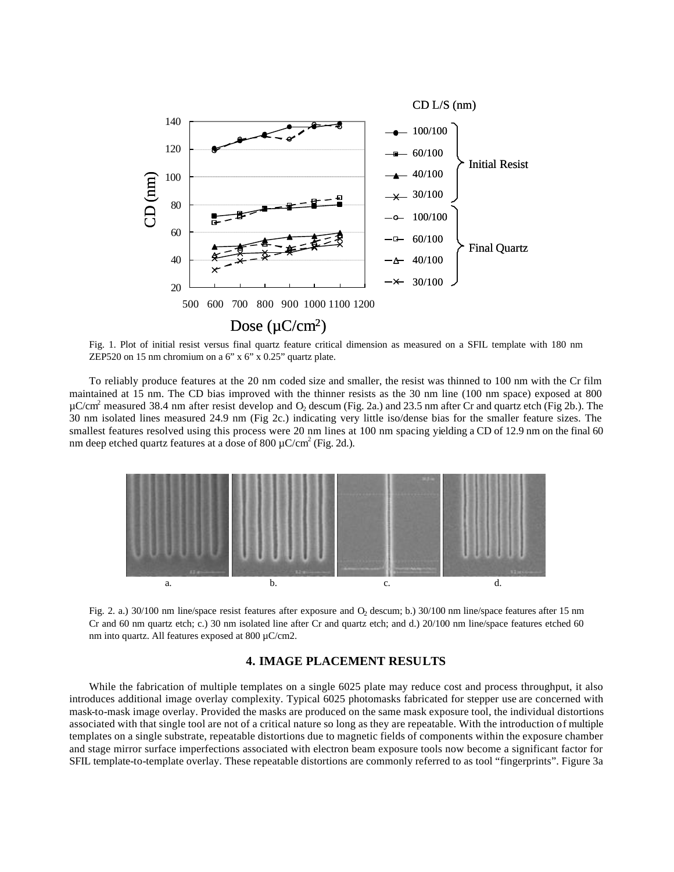

Fig. 1. Plot of initial resist versus final quartz feature critical dimension as measured on a SFIL template with 180 nm ZEP520 on 15 nm chromium on a 6" x 6" x 0.25" quartz plate.

To reliably produce features at the 20 nm coded size and smaller, the resist was thinned to 100 nm with the Cr film maintained at 15 nm. The CD bias improved with the thinner resists as the 30 nm line (100 nm space) exposed at 800  $\mu$ C/cm<sup>2</sup> measured 38.4 nm after resist develop and O<sub>2</sub> descum (Fig. 2a.) and 23.5 nm after Cr and quartz etch (Fig 2b.). The 30 nm isolated lines measured 24.9 nm (Fig 2c.) indicating very little iso/dense bias for the smaller feature sizes. The smallest features resolved using this process were 20 nm lines at 100 nm spacing yielding a CD of 12.9 nm on the final 60 nm deep etched quartz features at a dose of 800  $\mu$ C/cm<sup>2</sup> (Fig. 2d.).



Fig. 2. a.) 30/100 nm line/space resist features after exposure and O<sub>2</sub> descum; b.) 30/100 nm line/space features after 15 nm Cr and 60 nm quartz etch; c.) 30 nm isolated line after Cr and quartz etch; and d.) 20/100 nm line/space features etched 60 nm into quartz. All features exposed at 800 µC/cm2.

## **4. IMAGE PLACEMENT RESULTS**

While the fabrication of multiple templates on a single 6025 plate may reduce cost and process throughput, it also introduces additional image overlay complexity. Typical 6025 photomasks fabricated for stepper use are concerned with mask-to-mask image overlay. Provided the masks are produced on the same mask exposure tool, the individual distortions associated with that single tool are not of a critical nature so long as they are repeatable. With the introduction of multiple templates on a single substrate, repeatable distortions due to magnetic fields of components within the exposure chamber and stage mirror surface imperfections associated with electron beam exposure tools now become a significant factor for SFIL template-to-template overlay. These repeatable distortions are commonly referred to as tool "fingerprints". Figure 3a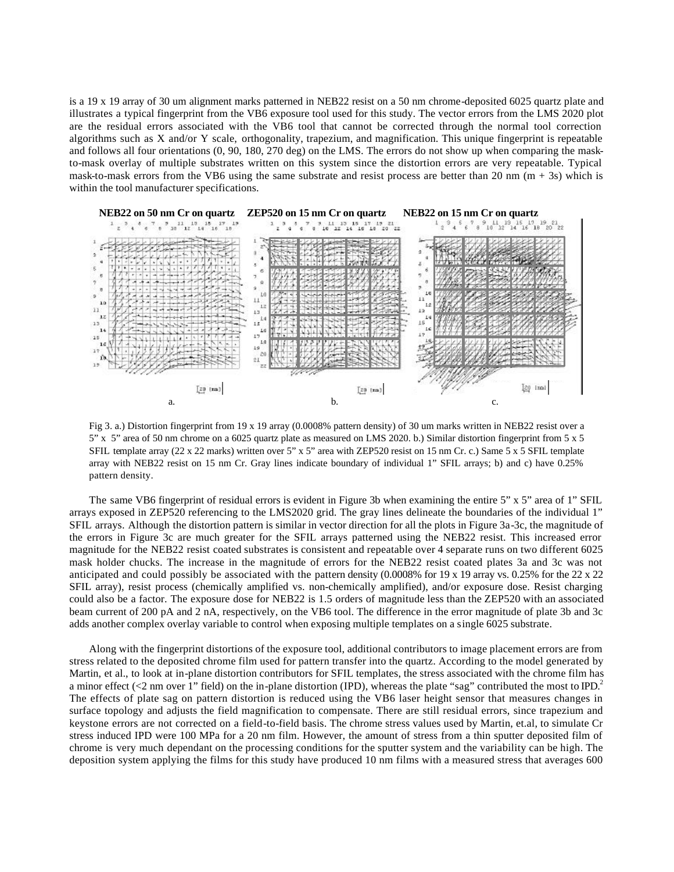is a 19 x 19 array of 30 um alignment marks patterned in NEB22 resist on a 50 nm chrome-deposited 6025 quartz plate and illustrates a typical fingerprint from the VB6 exposure tool used for this study. The vector errors from the LMS 2020 plot are the residual errors associated with the VB6 tool that cannot be corrected through the normal tool correction algorithms such as X and/or Y scale, orthogonality, trapezium, and magnification. This unique fingerprint is repeatable and follows all four orientations (0, 90, 180, 270 deg) on the LMS. The errors do not show up when comparing the maskto-mask overlay of multiple substrates written on this system since the distortion errors are very repeatable. Typical mask-to-mask errors from the VB6 using the same substrate and resist process are better than 20 nm  $(m + 3s)$  which is within the tool manufacturer specifications.



Fig 3. a.) Distortion fingerprint from 19 x 19 array (0.0008% pattern density) of 30 um marks written in NEB22 resist over a 5" x 5" area of 50 nm chrome on a 6025 quartz plate as measured on LMS 2020. b.) Similar distortion fingerprint from 5 x 5 SFIL template array (22 x 22 marks) written over 5" x 5" area with ZEP520 resist on 15 nm Cr. c.) Same 5 x 5 SFIL template array with NEB22 resist on 15 nm Cr. Gray lines indicate boundary of individual 1" SFIL arrays; b) and c) have 0.25% pattern density.

The same VB6 fingerprint of residual errors is evident in Figure 3b when examining the entire 5" x 5" area of 1" SFIL arrays exposed in ZEP520 referencing to the LMS2020 grid. The gray lines delineate the boundaries of the individual 1" SFIL arrays. Although the distortion pattern is similar in vector direction for all the plots in Figure 3a-3c, the magnitude of the errors in Figure 3c are much greater for the SFIL arrays patterned using the NEB22 resist. This increased error magnitude for the NEB22 resist coated substrates is consistent and repeatable over 4 separate runs on two different 6025 mask holder chucks. The increase in the magnitude of errors for the NEB22 resist coated plates 3a and 3c was not anticipated and could possibly be associated with the pattern density (0.0008% for 19 x 19 array vs. 0.25% for the 22 x 22 SFIL array), resist process (chemically amplified vs. non-chemically amplified), and/or exposure dose. Resist charging could also be a factor. The exposure dose for NEB22 is 1.5 orders of magnitude less than the ZEP520 with an associated beam current of 200 pA and 2 nA, respectively, on the VB6 tool. The difference in the error magnitude of plate 3b and 3c adds another complex overlay variable to control when exposing multiple templates on a single 6025 substrate.

Along with the fingerprint distortions of the exposure tool, additional contributors to image placement errors are from stress related to the deposited chrome film used for pattern transfer into the quartz. According to the model generated by Martin, et al., to look at in-plane distortion contributors for SFIL templates, the stress associated with the chrome film has a minor effect (<2 nm over 1" field) on the in-plane distortion (IPD), whereas the plate "sag" contributed the most to IPD.<sup>2</sup> The effects of plate sag on pattern distortion is reduced using the VB6 laser height sensor that measures changes in surface topology and adjusts the field magnification to compensate. There are still residual errors, since trapezium and keystone errors are not corrected on a field-to-field basis. The chrome stress values used by Martin, et.al, to simulate Cr stress induced IPD were 100 MPa for a 20 nm film. However, the amount of stress from a thin sputter deposited film of chrome is very much dependant on the processing conditions for the sputter system and the variability can be high. The deposition system applying the films for this study have produced 10 nm films with a measured stress that averages 600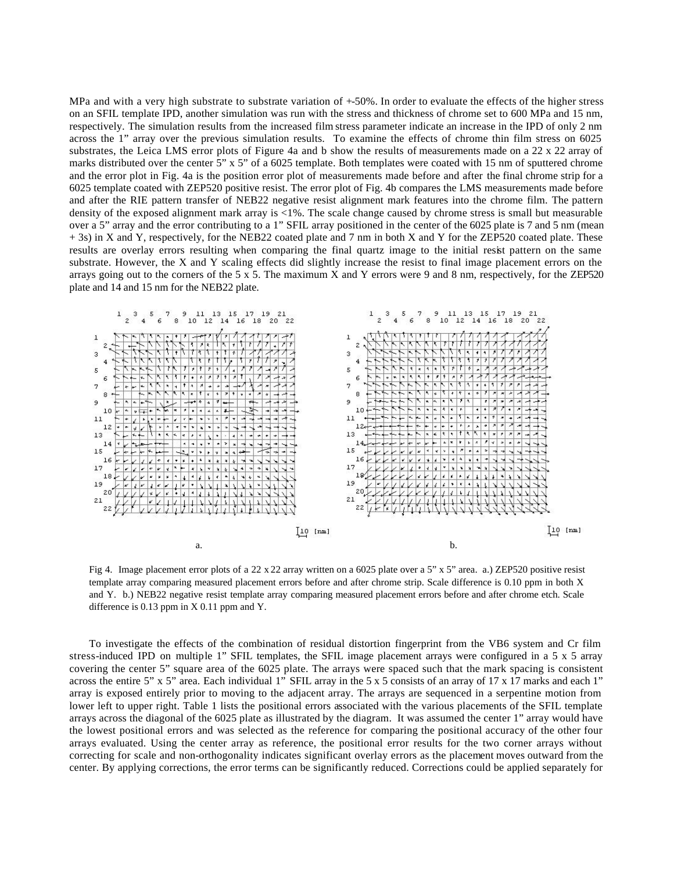MPa and with a very high substrate to substrate variation of  $+50\%$ . In order to evaluate the effects of the higher stress on an SFIL template IPD, another simulation was run with the stress and thickness of chrome set to 600 MPa and 15 nm, respectively. The simulation results from the increased film stress parameter indicate an increase in the IPD of only 2 nm across the 1" array over the previous simulation results. To examine the effects of chrome thin film stress on 6025 substrates, the Leica LMS error plots of Figure 4a and b show the results of measurements made on a 22 x 22 array of marks distributed over the center 5" x 5" of a 6025 template. Both templates were coated with 15 nm of sputtered chrome and the error plot in Fig. 4a is the position error plot of measurements made before and after the final chrome strip for a 6025 template coated with ZEP520 positive resist. The error plot of Fig. 4b compares the LMS measurements made before and after the RIE pattern transfer of NEB22 negative resist alignment mark features into the chrome film. The pattern density of the exposed alignment mark array is <1%. The scale change caused by chrome stress is small but measurable over a 5" array and the error contributing to a 1" SFIL array positioned in the center of the 6025 plate is 7 and 5 nm (mean + 3s) in X and Y, respectively, for the NEB22 coated plate and 7 nm in both X and Y for the ZEP520 coated plate. These results are overlay errors resulting when comparing the final quartz image to the initial resist pattern on the same substrate. However, the X and Y scaling effects did slightly increase the resist to final image placement errors on the arrays going out to the corners of the 5 x 5. The maximum X and Y errors were 9 and 8 nm, respectively, for the ZEP520 plate and 14 and 15 nm for the NEB22 plate.



Fig 4. Image placement error plots of a 22 x 22 array written on a 6025 plate over a 5" x 5" area. a.) ZEP520 positive resist template array comparing measured placement errors before and after chrome strip. Scale difference is 0.10 ppm in both X and Y. b.) NEB22 negative resist template array comparing measured placement errors before and after chrome etch. Scale difference is 0.13 ppm in X 0.11 ppm and Y.

To investigate the effects of the combination of residual distortion fingerprint from the VB6 system and Cr film stress-induced IPD on multiple 1" SFIL templates, the SFIL image placement arrays were configured in a 5 x 5 array covering the center 5" square area of the 6025 plate. The arrays were spaced such that the mark spacing is consistent across the entire 5" x 5" area. Each individual 1" SFIL array in the 5 x 5 consists of an array of 17 x 17 marks and each 1" array is exposed entirely prior to moving to the adjacent array. The arrays are sequenced in a serpentine motion from lower left to upper right. Table 1 lists the positional errors associated with the various placements of the SFIL template arrays across the diagonal of the 6025 plate as illustrated by the diagram. It was assumed the center 1" array would have the lowest positional errors and was selected as the reference for comparing the positional accuracy of the other four arrays evaluated. Using the center array as reference, the positional error results for the two corner arrays without correcting for scale and non-orthogonality indicates significant overlay errors as the placement moves outward from the center. By applying corrections, the error terms can be significantly reduced. Corrections could be applied separately for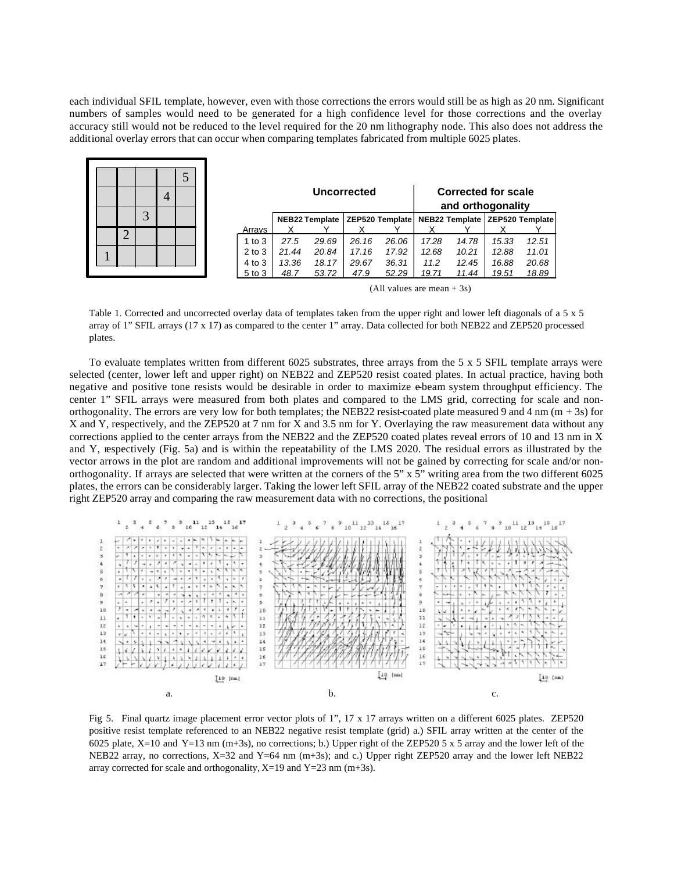each individual SFIL template, however, even with those corrections the errors would still be as high as 20 nm. Significant numbers of samples would need to be generated for a high confidence level for those corrections and the overlay accuracy still would not be reduced to the level required for the 20 nm lithography node. This also does not address the additional overlay errors that can occur when comparing templates fabricated from multiple 6025 plates.

|  |   |   | 4 |  |            |       | Uncorrected           |       |       | <b>Corrected for scale</b><br>and orthogonality |                                                    |       |       |
|--|---|---|---|--|------------|-------|-----------------------|-------|-------|-------------------------------------------------|----------------------------------------------------|-------|-------|
|  |   | 3 |   |  |            |       | <b>NEB22 Template</b> |       |       |                                                 | ZEP520 Template   NEB22 Template   ZEP520 Template |       |       |
|  | ◠ |   |   |  | Arrays     |       |                       |       |       |                                                 |                                                    |       |       |
|  | ↩ |   |   |  | $1$ to $3$ | 27.5  | 29.69                 | 26.16 | 26.06 | 17.28                                           | 14.78                                              | 15.33 | 12.51 |
|  |   |   |   |  | $2$ to $3$ | 21.44 | 20.84                 | 17.16 | 17.92 | 12.68                                           | 10.21                                              | 12.88 | 11.01 |
|  |   |   |   |  | 4 to 3     | 13.36 | 18.17                 | 29.67 | 36.31 | 11.2                                            | 12.45                                              | 16.88 | 20.68 |
|  |   |   |   |  | 5 to 3     | 48.7  | 53.72                 | 47.9  | 52.29 | 19.71                                           | 11.44                                              | 19.51 | 18.89 |

(All values are mean  $+ 3s$ )

Table 1. Corrected and uncorrected overlay data of templates taken from the upper right and lower left diagonals of a 5 x 5 array of 1" SFIL arrays (17 x 17) as compared to the center 1" array. Data collected for both NEB22 and ZEP520 processed plates.

To evaluate templates written from different 6025 substrates, three arrays from the 5 x 5 SFIL template arrays were selected (center, lower left and upper right) on NEB22 and ZEP520 resist coated plates. In actual practice, having both negative and positive tone resists would be desirable in order to maximize e-beam system throughput efficiency. The center 1" SFIL arrays were measured from both plates and compared to the LMS grid, correcting for scale and nonorthogonality. The errors are very low for both templates; the NEB22 resist-coated plate measured 9 and 4 nm  $(m + 3s)$  for X and Y, respectively, and the ZEP520 at 7 nm for X and 3.5 nm for Y. Overlaying the raw measurement data without any corrections applied to the center arrays from the NEB22 and the ZEP520 coated plates reveal errors of 10 and 13 nm in X and Y, respectively (Fig. 5a) and is within the repeatability of the LMS 2020. The residual errors as illustrated by the vector arrows in the plot are random and additional improvements will not be gained by correcting for scale and/or nonorthogonality. If arrays are selected that were written at the corners of the 5" x 5" writing area from the two different 6025 plates, the errors can be considerably larger. Taking the lower left SFIL array of the NEB22 coated substrate and the upper right ZEP520 array and comparing the raw measurement data with no corrections, the positional



Fig 5. Final quartz image placement error vector plots of 1", 17 x 17 arrays written on a different 6025 plates. ZEP520 positive resist template referenced to an NEB22 negative resist template (grid) a.) SFIL array written at the center of the 6025 plate, X=10 and Y=13 nm (m+3s), no corrections; b.) Upper right of the ZEP520 5 x 5 array and the lower left of the NEB22 array, no corrections, X=32 and Y=64 nm (m+3s); and c.) Upper right ZEP520 array and the lower left NEB22 array corrected for scale and orthogonality,  $X=19$  and  $Y=23$  nm (m+3s).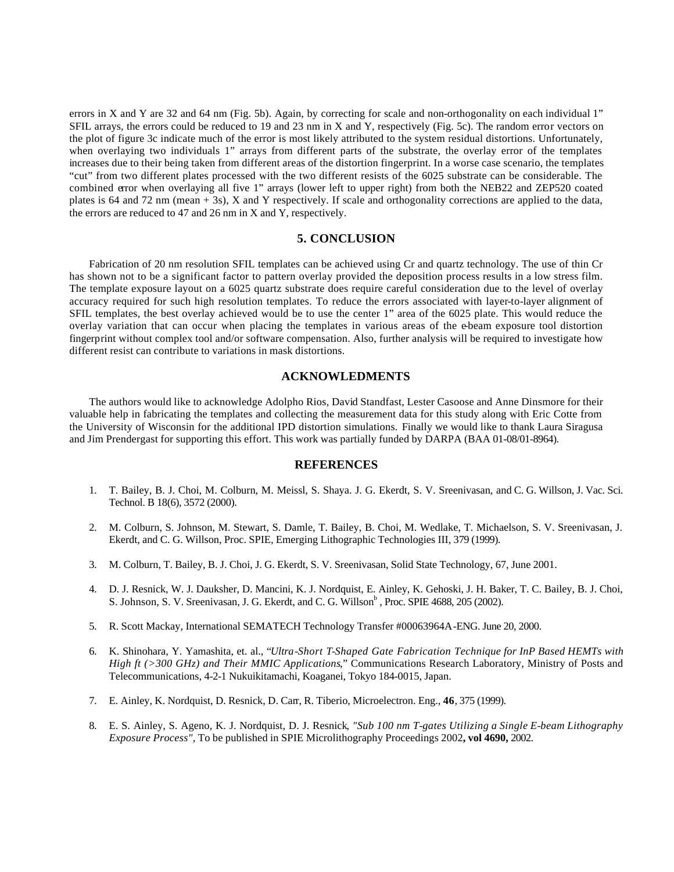errors in X and Y are 32 and 64 nm (Fig. 5b). Again, by correcting for scale and non-orthogonality on each individual 1" SFIL arrays, the errors could be reduced to 19 and 23 nm in X and Y, respectively (Fig. 5c). The random error vectors on the plot of figure 3c indicate much of the error is most likely attributed to the system residual distortions. Unfortunately, when overlaying two individuals 1" arrays from different parts of the substrate, the overlay error of the templates increases due to their being taken from different areas of the distortion fingerprint. In a worse case scenario, the templates "cut" from two different plates processed with the two different resists of the 6025 substrate can be considerable. The combined error when overlaying all five 1" arrays (lower left to upper right) from both the NEB22 and ZEP520 coated plates is 64 and 72 nm (mean + 3s), X and Y respectively. If scale and orthogonality corrections are applied to the data, the errors are reduced to 47 and 26 nm in X and Y, respectively.

## **5. CONCLUSION**

Fabrication of 20 nm resolution SFIL templates can be achieved using Cr and quartz technology. The use of thin Cr has shown not to be a significant factor to pattern overlay provided the deposition process results in a low stress film. The template exposure layout on a 6025 quartz substrate does require careful consideration due to the level of overlay accuracy required for such high resolution templates. To reduce the errors associated with layer-to-layer alignment of SFIL templates, the best overlay achieved would be to use the center 1" area of the 6025 plate. This would reduce the overlay variation that can occur when placing the templates in various areas of the e-beam exposure tool distortion fingerprint without complex tool and/or software compensation. Also, further analysis will be required to investigate how different resist can contribute to variations in mask distortions.

#### **ACKNOWLEDMENTS**

The authors would like to acknowledge Adolpho Rios, David Standfast, Lester Casoose and Anne Dinsmore for their valuable help in fabricating the templates and collecting the measurement data for this study along with Eric Cotte from the University of Wisconsin for the additional IPD distortion simulations. Finally we would like to thank Laura Siragusa and Jim Prendergast for supporting this effort. This work was partially funded by DARPA (BAA 01-08/01-8964).

#### **REFERENCES**

- 1. T. Bailey, B. J. Choi, M. Colburn, M. Meissl, S. Shaya. J. G. Ekerdt, S. V. Sreenivasan, and C. G. Willson, J. Vac. Sci. Technol. B 18(6), 3572 (2000).
- 2. M. Colburn, S. Johnson, M. Stewart, S. Damle, T. Bailey, B. Choi, M. Wedlake, T. Michaelson, S. V. Sreenivasan, J. Ekerdt, and C. G. Willson, Proc. SPIE, Emerging Lithographic Technologies III, 379 (1999).
- 3. M. Colburn, T. Bailey, B. J. Choi, J. G. Ekerdt, S. V. Sreenivasan, Solid State Technology, 67, June 2001.
- 4. D. J. Resnick, W. J. Dauksher, D. Mancini, K. J. Nordquist, E. Ainley, K. Gehoski, J. H. Baker, T. C. Bailey, B. J. Choi, S. Johnson, S. V. Sreenivasan, J. G. Ekerdt, and C. G. Willson<sup>b</sup>, Proc. SPIE 4688, 205 (2002).
- 5. R. Scott Mackay, International SEMATECH Technology Transfer #00063964A-ENG. June 20, 2000.
- 6. K. Shinohara, Y. Yamashita, et. al., "*Ultra-Short T-Shaped Gate Fabrication Technique for InP Based HEMTs with High ft (>300 GHz) and Their MMIC Applications*," Communications Research Laboratory, Ministry of Posts and Telecommunications, 4-2-1 Nukuikitamachi, Koaganei, Tokyo 184-0015, Japan.
- 7. E. Ainley, K. Nordquist, D. Resnick, D. Carr, R. Tiberio, Microelectron. Eng., **46**, 375 (1999).
- 8. E. S. Ainley, S. Ageno, K. J. Nordquist, D. J. Resnick*, "Sub 100 nm T-gates Utilizing a Single E-beam Lithography Exposure Process",* To be published in SPIE Microlithography Proceedings 2002**, vol 4690,** 2002.